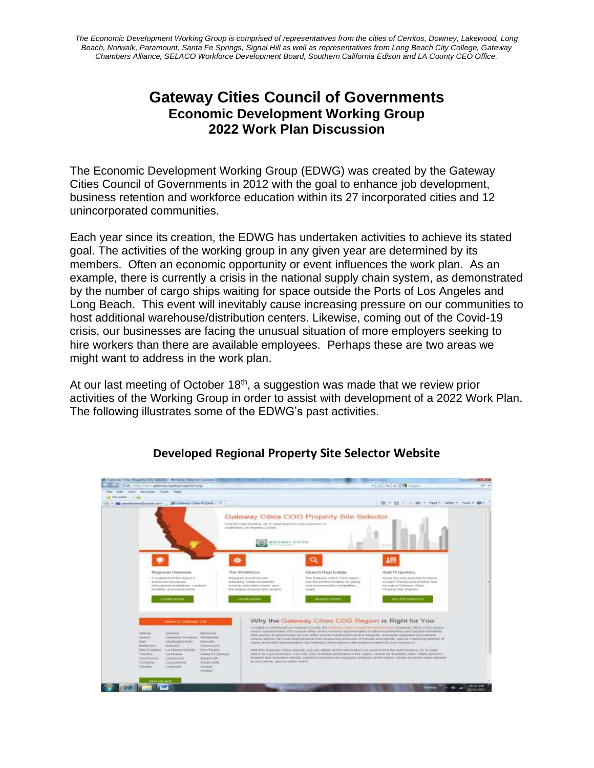*The Economic Development Working Group is comprised of representatives from the cities of Cerritos, Downey, Lakewood, Long Beach, Norwalk, Paramount, Santa Fe Springs, Signal Hill as well as representatives from Long Beach City College, Gateway Chambers Alliance, SELACO Workforce Development Board, Southern California Edison and LA County CEO Office.*

# **Gateway Cities Council of Governments Economic Development Working Group 2022 Work Plan Discussion**

The Economic Development Working Group (EDWG) was created by the Gateway Cities Council of Governments in 2012 with the goal to enhance job development, business retention and workforce education within its 27 incorporated cities and 12 unincorporated communities.

Each year since its creation, the EDWG has undertaken activities to achieve its stated goal. The activities of the working group in any given year are determined by its members. Often an economic opportunity or event influences the work plan. As an example, there is currently a crisis in the national supply chain system, as demonstrated by the number of cargo ships waiting for space outside the Ports of Los Angeles and Long Beach. This event will inevitably cause increasing pressure on our communities to host additional warehouse/distribution centers. Likewise, coming out of the Covid-19 crisis, our businesses are facing the unusual situation of more employers seeking to hire workers than there are available employees. Perhaps these are two areas we might want to address in the work plan.

At our last meeting of October 18<sup>th</sup>, a suggestion was made that we review prior activities of the Working Group in order to assist with development of a 2022 Work Plan. The following illustrates some of the EDWG's past activities.



## **Developed Regional Property Site Selector Website**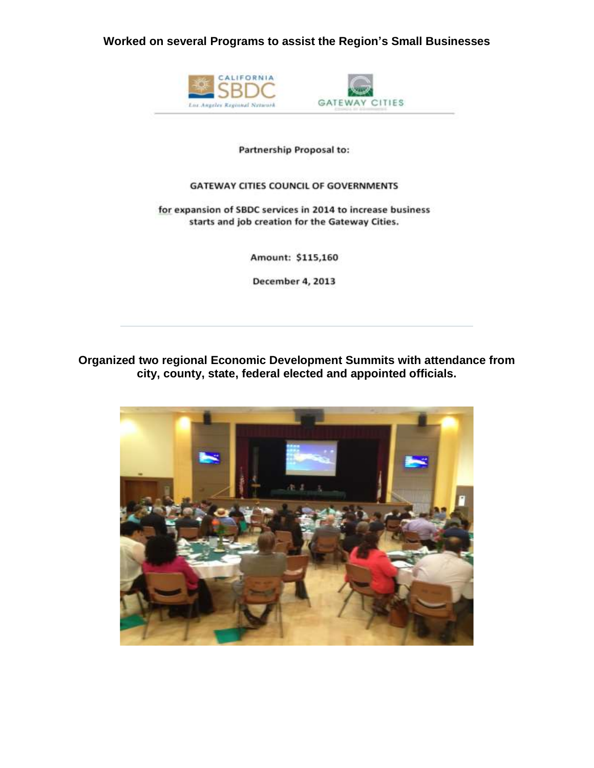**Worked on several Programs to assist the Region's Small Businesses**



#### Partnership Proposal to:

#### **GATEWAY CITIES COUNCIL OF GOVERNMENTS**

#### for expansion of SBDC services in 2014 to increase business starts and job creation for the Gateway Cities.

Amount: \$115,160

December 4, 2013

## **Organized two regional Economic Development Summits with attendance from city, county, state, federal elected and appointed officials.**

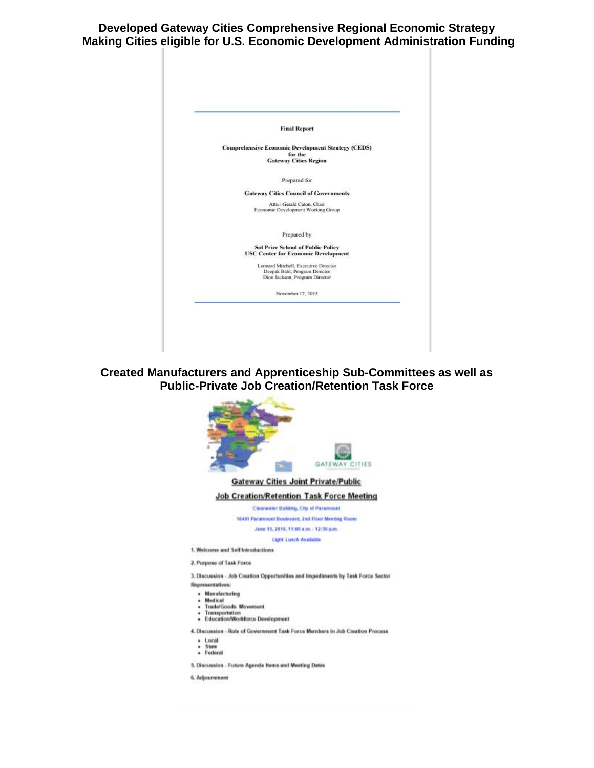**Developed Gateway Cities Comprehensive Regional Economic Strategy Making Cities eligible for U.S. Economic Development Administration Funding**



**Created Manufacturers and Apprenticeship Sub-Committees as well as Public-Private Job Creation/Retention Task Force**



5. Discussion - Future Agenda Items and Meeting Dates

6. Adjournment